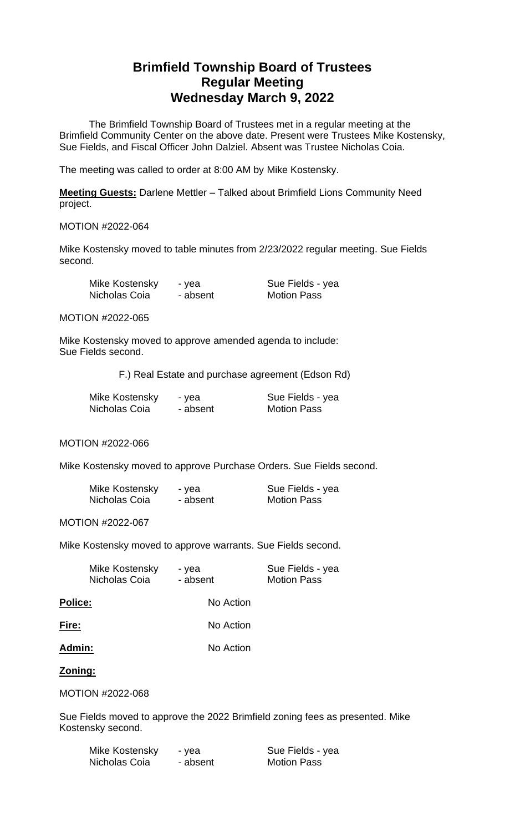# **Brimfield Township Board of Trustees Regular Meeting Wednesday March 9, 2022**

The Brimfield Township Board of Trustees met in a regular meeting at the Brimfield Community Center on the above date. Present were Trustees Mike Kostensky, Sue Fields, and Fiscal Officer John Dalziel. Absent was Trustee Nicholas Coia.

The meeting was called to order at 8:00 AM by Mike Kostensky.

**Meeting Guests:** Darlene Mettler – Talked about Brimfield Lions Community Need project.

#### MOTION #2022-064

Mike Kostensky moved to table minutes from 2/23/2022 regular meeting. Sue Fields second.

| Mike Kostensky | - yea    | Sue Fields - yea   |
|----------------|----------|--------------------|
| Nicholas Coia  | - absent | <b>Motion Pass</b> |

MOTION #2022-065

Mike Kostensky moved to approve amended agenda to include: Sue Fields second.

F.) Real Estate and purchase agreement (Edson Rd)

| Mike Kostensky | - yea    | Sue Fields - yea   |
|----------------|----------|--------------------|
| Nicholas Coia  | - absent | <b>Motion Pass</b> |

# MOTION #2022-066

Mike Kostensky moved to approve Purchase Orders. Sue Fields second.

| Mike Kostensky | - yea    | Sue Fields - yea   |
|----------------|----------|--------------------|
| Nicholas Coia  | - absent | <b>Motion Pass</b> |

## MOTION #2022-067

Mike Kostensky moved to approve warrants. Sue Fields second.

| Mike Kostensky | - yea    | Sue Fields - yea   |
|----------------|----------|--------------------|
| Nicholas Coia  | - absent | <b>Motion Pass</b> |

**Police:** No Action

| Fire: | No Action |
|-------|-----------|
|       |           |

# Admin: No Action

# **Zoning:**

MOTION #2022-068

Sue Fields moved to approve the 2022 Brimfield zoning fees as presented. Mike Kostensky second.

| Mike Kostensky | - yea    | Sue Fields - yea   |
|----------------|----------|--------------------|
| Nicholas Coia  | - absent | <b>Motion Pass</b> |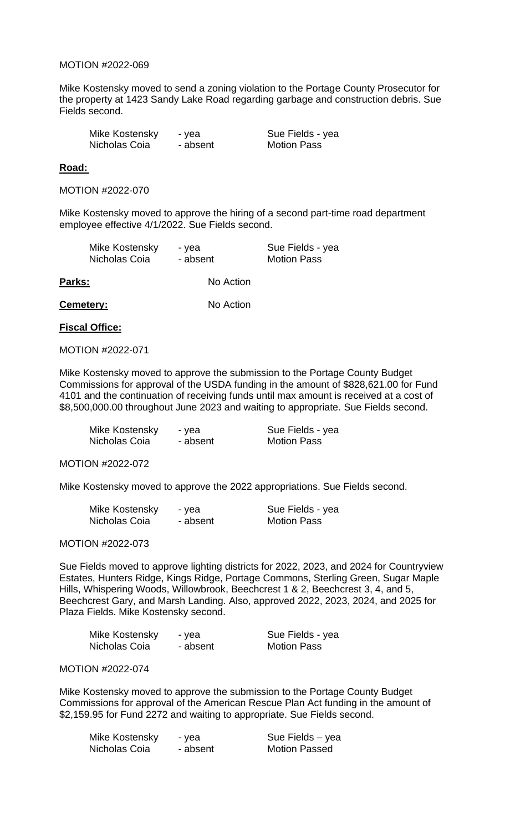#### MOTION #2022-069

Mike Kostensky moved to send a zoning violation to the Portage County Prosecutor for the property at 1423 Sandy Lake Road regarding garbage and construction debris. Sue Fields second.

| Mike Kostensky | - yea    | Sue Fields - yea   |
|----------------|----------|--------------------|
| Nicholas Coia  | - absent | <b>Motion Pass</b> |

#### **Road:**

MOTION #2022-070

Mike Kostensky moved to approve the hiring of a second part-time road department employee effective 4/1/2022. Sue Fields second.

| Mike Kostensky | - yea    | Sue Fields - yea   |
|----------------|----------|--------------------|
| Nicholas Coia  | - absent | <b>Motion Pass</b> |

Parks: No Action

**Cemetery:** No Action

#### **Fiscal Office:**

MOTION #2022-071

Mike Kostensky moved to approve the submission to the Portage County Budget Commissions for approval of the USDA funding in the amount of \$828,621.00 for Fund 4101 and the continuation of receiving funds until max amount is received at a cost of \$8,500,000.00 throughout June 2023 and waiting to appropriate. Sue Fields second.

| Mike Kostensky | - yea    | Sue Fields - yea   |
|----------------|----------|--------------------|
| Nicholas Coia  | - absent | <b>Motion Pass</b> |

MOTION #2022-072

Mike Kostensky moved to approve the 2022 appropriations. Sue Fields second.

| Mike Kostensky | - yea    | Sue Fields - yea   |
|----------------|----------|--------------------|
| Nicholas Coia  | - absent | <b>Motion Pass</b> |

MOTION #2022-073

Sue Fields moved to approve lighting districts for 2022, 2023, and 2024 for Countryview Estates, Hunters Ridge, Kings Ridge, Portage Commons, Sterling Green, Sugar Maple Hills, Whispering Woods, Willowbrook, Beechcrest 1 & 2, Beechcrest 3, 4, and 5, Beechcrest Gary, and Marsh Landing. Also, approved 2022, 2023, 2024, and 2025 for Plaza Fields. Mike Kostensky second.

| Mike Kostensky | - yea    | Sue Fields - yea   |
|----------------|----------|--------------------|
| Nicholas Coia  | - absent | <b>Motion Pass</b> |

# MOTION #2022-074

Mike Kostensky moved to approve the submission to the Portage County Budget Commissions for approval of the American Rescue Plan Act funding in the amount of \$2,159.95 for Fund 2272 and waiting to appropriate. Sue Fields second.

| Mike Kostensky | - yea    | Sue Fields – yea     |
|----------------|----------|----------------------|
| Nicholas Coia  | - absent | <b>Motion Passed</b> |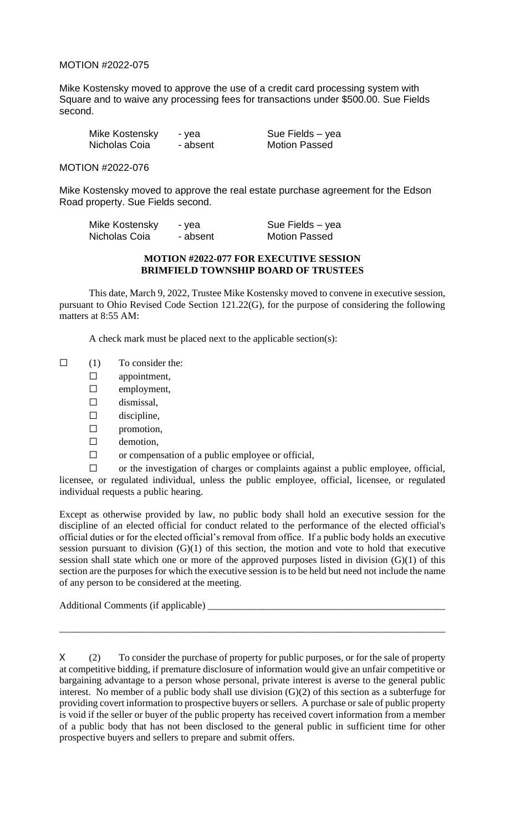# MOTION #2022-075

Mike Kostensky moved to approve the use of a credit card processing system with Square and to waive any processing fees for transactions under \$500.00. Sue Fields second.

| Mike Kostensky | - yea    |
|----------------|----------|
| Nicholas Coia  | - absent |

Sue Fields – yea **Motion Passed** 

MOTION #2022-076

Mike Kostensky moved to approve the real estate purchase agreement for the Edson Road property. Sue Fields second.

| Mike Kostensky | - yea    | Sue Fields - yea     |
|----------------|----------|----------------------|
| Nicholas Coia  | - absent | <b>Motion Passed</b> |

#### **MOTION #2022-077 FOR EXECUTIVE SESSION BRIMFIELD TOWNSHIP BOARD OF TRUSTEES**

This date, March 9, 2022, Trustee Mike Kostensky moved to convene in executive session, pursuant to Ohio Revised Code Section 121.22(G), for the purpose of considering the following matters at 8:55 AM:

A check mark must be placed next to the applicable section(s):

- $\Box$  (1) To consider the:
	- $\square$  appointment,
		- ☐ employment,
		- $\square$  dismissal,
		- $\square$  discipline,
	- ☐ promotion,
	- □ demotion,
	- ☐ or compensation of a public employee or official,

 $\Box$  or the investigation of charges or complaints against a public employee, official, licensee, or regulated individual, unless the public employee, official, licensee, or regulated individual requests a public hearing.

Except as otherwise provided by law, no public body shall hold an executive session for the discipline of an elected official for conduct related to the performance of the elected official's official duties or for the elected official's removal from office. If a public body holds an executive session pursuant to division  $(G)(1)$  of this section, the motion and vote to hold that executive session shall state which one or more of the approved purposes listed in division (G)(1) of this section are the purposes for which the executive session is to be held but need not include the name of any person to be considered at the meeting.

Additional Comments (if applicable) \_\_\_\_\_\_\_\_\_\_\_\_\_\_\_\_\_\_\_\_\_\_\_\_\_\_\_\_\_\_\_\_\_\_\_\_\_\_\_\_\_\_\_\_\_\_\_\_

X (2) To consider the purchase of property for public purposes, or for the sale of property at competitive bidding, if premature disclosure of information would give an unfair competitive or bargaining advantage to a person whose personal, private interest is averse to the general public interest. No member of a public body shall use division (G)(2) of this section as a subterfuge for providing covert information to prospective buyers or sellers. A purchase or sale of public property is void if the seller or buyer of the public property has received covert information from a member of a public body that has not been disclosed to the general public in sufficient time for other prospective buyers and sellers to prepare and submit offers.

\_\_\_\_\_\_\_\_\_\_\_\_\_\_\_\_\_\_\_\_\_\_\_\_\_\_\_\_\_\_\_\_\_\_\_\_\_\_\_\_\_\_\_\_\_\_\_\_\_\_\_\_\_\_\_\_\_\_\_\_\_\_\_\_\_\_\_\_\_\_\_\_\_\_\_\_\_\_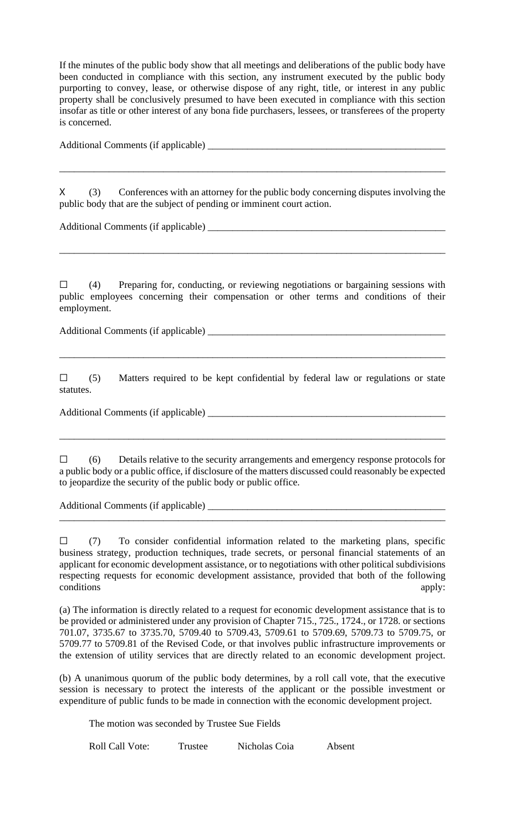If the minutes of the public body show that all meetings and deliberations of the public body have been conducted in compliance with this section, any instrument executed by the public body purporting to convey, lease, or otherwise dispose of any right, title, or interest in any public property shall be conclusively presumed to have been executed in compliance with this section insofar as title or other interest of any bona fide purchasers, lessees, or transferees of the property is concerned.

Additional Comments (if applicable) \_\_\_\_\_\_\_\_\_\_\_\_\_\_\_\_\_\_\_\_\_\_\_\_\_\_\_\_\_\_\_\_\_\_\_\_\_\_\_\_\_\_\_\_\_\_\_\_

X (3) Conferences with an attorney for the public body concerning disputes involving the public body that are the subject of pending or imminent court action.

\_\_\_\_\_\_\_\_\_\_\_\_\_\_\_\_\_\_\_\_\_\_\_\_\_\_\_\_\_\_\_\_\_\_\_\_\_\_\_\_\_\_\_\_\_\_\_\_\_\_\_\_\_\_\_\_\_\_\_\_\_\_\_\_\_\_\_\_\_\_\_\_\_\_\_\_\_\_

Additional Comments (if applicable) \_\_\_\_\_\_\_\_\_\_\_\_\_\_\_\_\_\_\_\_\_\_\_\_\_\_\_\_\_\_\_\_\_\_\_\_\_\_\_\_\_\_\_\_\_\_\_\_

 $\Box$  (4) Preparing for, conducting, or reviewing negotiations or bargaining sessions with public employees concerning their compensation or other terms and conditions of their employment.

\_\_\_\_\_\_\_\_\_\_\_\_\_\_\_\_\_\_\_\_\_\_\_\_\_\_\_\_\_\_\_\_\_\_\_\_\_\_\_\_\_\_\_\_\_\_\_\_\_\_\_\_\_\_\_\_\_\_\_\_\_\_\_\_\_\_\_\_\_\_\_\_\_\_\_\_\_\_

Additional Comments (if applicable) \_\_\_\_\_\_\_\_\_\_\_\_\_\_\_\_\_\_\_\_\_\_\_\_\_\_\_\_\_\_\_\_\_\_\_\_\_\_\_\_\_\_\_\_\_\_\_\_

 $\square$  (5) Matters required to be kept confidential by federal law or regulations or state statutes.

\_\_\_\_\_\_\_\_\_\_\_\_\_\_\_\_\_\_\_\_\_\_\_\_\_\_\_\_\_\_\_\_\_\_\_\_\_\_\_\_\_\_\_\_\_\_\_\_\_\_\_\_\_\_\_\_\_\_\_\_\_\_\_\_\_\_\_\_\_\_\_\_\_\_\_\_\_\_

Additional Comments (if applicable) \_\_\_\_\_\_\_\_\_\_\_\_\_\_\_\_\_\_\_\_\_\_\_\_\_\_\_\_\_\_\_\_\_\_\_\_\_\_\_\_\_\_\_\_\_\_\_\_

☐ (6) Details relative to the security arrangements and emergency response protocols for a public body or a public office, if disclosure of the matters discussed could reasonably be expected to jeopardize the security of the public body or public office.

\_\_\_\_\_\_\_\_\_\_\_\_\_\_\_\_\_\_\_\_\_\_\_\_\_\_\_\_\_\_\_\_\_\_\_\_\_\_\_\_\_\_\_\_\_\_\_\_\_\_\_\_\_\_\_\_\_\_\_\_\_\_\_\_\_\_\_\_\_\_\_\_\_\_\_\_\_\_

\_\_\_\_\_\_\_\_\_\_\_\_\_\_\_\_\_\_\_\_\_\_\_\_\_\_\_\_\_\_\_\_\_\_\_\_\_\_\_\_\_\_\_\_\_\_\_\_\_\_\_\_\_\_\_\_\_\_\_\_\_\_\_\_\_\_\_\_\_\_\_\_\_\_\_\_\_\_

Additional Comments (if applicable) \_\_\_\_\_\_\_\_\_\_\_\_\_\_\_\_\_\_\_\_\_\_\_\_\_\_\_\_\_\_\_\_\_\_\_\_\_\_\_\_\_\_\_\_\_\_\_\_

 $\Box$  (7) To consider confidential information related to the marketing plans, specific business strategy, production techniques, trade secrets, or personal financial statements of an applicant for economic development assistance, or to negotiations with other political subdivisions respecting requests for economic development assistance, provided that both of the following conditions apply:

(a) The information is directly related to a request for economic development assistance that is to be provided or administered under any provision of Chapter 715., 725., 1724., or 1728. or sections 701.07, 3735.67 to 3735.70, 5709.40 to 5709.43, 5709.61 to 5709.69, 5709.73 to 5709.75, or 5709.77 to 5709.81 of the Revised Code, or that involves public infrastructure improvements or the extension of utility services that are directly related to an economic development project.

(b) A unanimous quorum of the public body determines, by a roll call vote, that the executive session is necessary to protect the interests of the applicant or the possible investment or expenditure of public funds to be made in connection with the economic development project.

The motion was seconded by Trustee Sue Fields

Roll Call Vote: Trustee Nicholas Coia Absent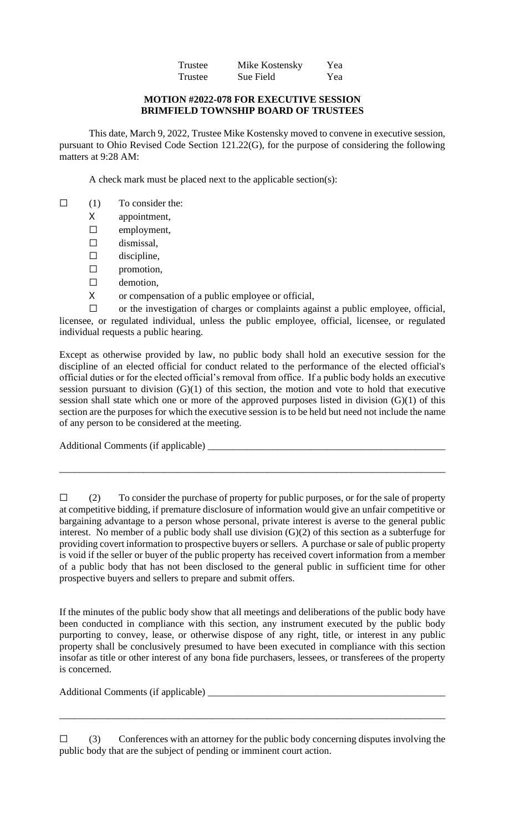| Trustee | Mike Kostensky | Yea |
|---------|----------------|-----|
| Trustee | Sue Field      | Yea |

#### **MOTION #2022-078 FOR EXECUTIVE SESSION BRIMFIELD TOWNSHIP BOARD OF TRUSTEES**

This date, March 9, 2022, Trustee Mike Kostensky moved to convene in executive session, pursuant to Ohio Revised Code Section 121.22(G), for the purpose of considering the following matters at 9:28 AM:

A check mark must be placed next to the applicable section(s):

- $\Box$  (1) To consider the:
	- X appointment,
	- ☐ employment,
	- $\square$  dismissal,
	- $\square$  discipline,
	- ☐ promotion,
	- □ demotion,
	- X or compensation of a public employee or official,

☐ or the investigation of charges or complaints against a public employee, official, licensee, or regulated individual, unless the public employee, official, licensee, or regulated individual requests a public hearing.

Except as otherwise provided by law, no public body shall hold an executive session for the discipline of an elected official for conduct related to the performance of the elected official's official duties or for the elected official's removal from office. If a public body holds an executive session pursuant to division (G)(1) of this section, the motion and vote to hold that executive session shall state which one or more of the approved purposes listed in division (G)(1) of this section are the purposes for which the executive session is to be held but need not include the name of any person to be considered at the meeting.

Additional Comments (if applicable) \_\_\_\_\_\_\_\_\_\_\_\_\_\_\_\_\_\_\_\_\_\_\_\_\_\_\_\_\_\_\_\_\_\_\_\_\_\_\_\_\_\_\_\_\_\_\_\_

\_\_\_\_\_\_\_\_\_\_\_\_\_\_\_\_\_\_\_\_\_\_\_\_\_\_\_\_\_\_\_\_\_\_\_\_\_\_\_\_\_\_\_\_\_\_\_\_\_\_\_\_\_\_\_\_\_\_\_\_\_\_\_\_\_\_\_\_\_\_\_\_\_\_\_\_\_\_

If the minutes of the public body show that all meetings and deliberations of the public body have been conducted in compliance with this section, any instrument executed by the public body purporting to convey, lease, or otherwise dispose of any right, title, or interest in any public property shall be conclusively presumed to have been executed in compliance with this section insofar as title or other interest of any bona fide purchasers, lessees, or transferees of the property is concerned.

Additional Comments (if applicable) \_\_\_\_\_\_\_\_\_\_\_\_\_\_\_\_\_\_\_\_\_\_\_\_\_\_\_\_\_\_\_\_\_\_\_\_\_\_\_\_\_\_\_\_\_\_\_\_

 $\Box$  (3) Conferences with an attorney for the public body concerning disputes involving the public body that are the subject of pending or imminent court action.

\_\_\_\_\_\_\_\_\_\_\_\_\_\_\_\_\_\_\_\_\_\_\_\_\_\_\_\_\_\_\_\_\_\_\_\_\_\_\_\_\_\_\_\_\_\_\_\_\_\_\_\_\_\_\_\_\_\_\_\_\_\_\_\_\_\_\_\_\_\_\_\_\_\_\_\_\_\_

<sup>☐</sup> (2) To consider the purchase of property for public purposes, or for the sale of property at competitive bidding, if premature disclosure of information would give an unfair competitive or bargaining advantage to a person whose personal, private interest is averse to the general public interest. No member of a public body shall use division (G)(2) of this section as a subterfuge for providing covert information to prospective buyers or sellers. A purchase or sale of public property is void if the seller or buyer of the public property has received covert information from a member of a public body that has not been disclosed to the general public in sufficient time for other prospective buyers and sellers to prepare and submit offers.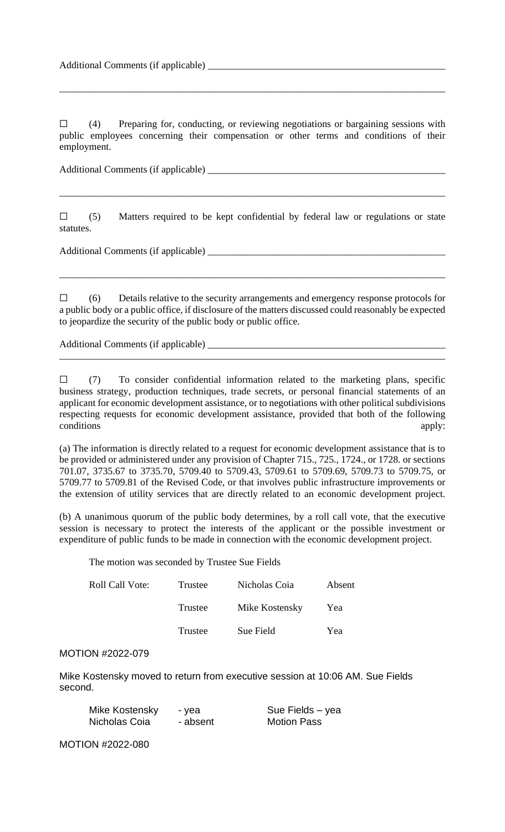$\Box$  (4) Preparing for, conducting, or reviewing negotiations or bargaining sessions with public employees concerning their compensation or other terms and conditions of their employment.

\_\_\_\_\_\_\_\_\_\_\_\_\_\_\_\_\_\_\_\_\_\_\_\_\_\_\_\_\_\_\_\_\_\_\_\_\_\_\_\_\_\_\_\_\_\_\_\_\_\_\_\_\_\_\_\_\_\_\_\_\_\_\_\_\_\_\_\_\_\_\_\_\_\_\_\_\_\_

Additional Comments (if applicable) \_\_\_\_\_\_\_\_\_\_\_\_\_\_\_\_\_\_\_\_\_\_\_\_\_\_\_\_\_\_\_\_\_\_\_\_\_\_\_\_\_\_\_\_\_\_\_\_

 $\Box$  (5) Matters required to be kept confidential by federal law or regulations or state statutes.

\_\_\_\_\_\_\_\_\_\_\_\_\_\_\_\_\_\_\_\_\_\_\_\_\_\_\_\_\_\_\_\_\_\_\_\_\_\_\_\_\_\_\_\_\_\_\_\_\_\_\_\_\_\_\_\_\_\_\_\_\_\_\_\_\_\_\_\_\_\_\_\_\_\_\_\_\_\_

Additional Comments (if applicable) \_\_\_\_\_\_\_\_\_\_\_\_\_\_\_\_\_\_\_\_\_\_\_\_\_\_\_\_\_\_\_\_\_\_\_\_\_\_\_\_\_\_\_\_\_\_\_\_

☐ (6) Details relative to the security arrangements and emergency response protocols for a public body or a public office, if disclosure of the matters discussed could reasonably be expected to jeopardize the security of the public body or public office.

\_\_\_\_\_\_\_\_\_\_\_\_\_\_\_\_\_\_\_\_\_\_\_\_\_\_\_\_\_\_\_\_\_\_\_\_\_\_\_\_\_\_\_\_\_\_\_\_\_\_\_\_\_\_\_\_\_\_\_\_\_\_\_\_\_\_\_\_\_\_\_\_\_\_\_\_\_\_

\_\_\_\_\_\_\_\_\_\_\_\_\_\_\_\_\_\_\_\_\_\_\_\_\_\_\_\_\_\_\_\_\_\_\_\_\_\_\_\_\_\_\_\_\_\_\_\_\_\_\_\_\_\_\_\_\_\_\_\_\_\_\_\_\_\_\_\_\_\_\_\_\_\_\_\_\_\_

Additional Comments (if applicable) \_\_\_\_\_\_\_\_\_\_\_\_\_\_\_\_\_\_\_\_\_\_\_\_\_\_\_\_\_\_\_\_\_\_\_\_\_\_\_\_\_\_\_\_\_\_\_\_

 $\Box$  (7) To consider confidential information related to the marketing plans, specific business strategy, production techniques, trade secrets, or personal financial statements of an applicant for economic development assistance, or to negotiations with other political subdivisions respecting requests for economic development assistance, provided that both of the following conditions apply:

(a) The information is directly related to a request for economic development assistance that is to be provided or administered under any provision of Chapter 715., 725., 1724., or 1728. or sections 701.07, 3735.67 to 3735.70, 5709.40 to 5709.43, 5709.61 to 5709.69, 5709.73 to 5709.75, or 5709.77 to 5709.81 of the Revised Code, or that involves public infrastructure improvements or the extension of utility services that are directly related to an economic development project.

(b) A unanimous quorum of the public body determines, by a roll call vote, that the executive session is necessary to protect the interests of the applicant or the possible investment or expenditure of public funds to be made in connection with the economic development project.

The motion was seconded by Trustee Sue Fields

| Roll Call Vote: | Trustee | Nicholas Coia  | Absent |
|-----------------|---------|----------------|--------|
|                 | Trustee | Mike Kostensky | Yea    |
|                 | Trustee | Sue Field      | Yea    |

#### MOTION #2022-079

Mike Kostensky moved to return from executive session at 10:06 AM. Sue Fields second.

| Mike Kostensky | - yea    | Sue Fields – yea   |
|----------------|----------|--------------------|
| Nicholas Coia  | - absent | <b>Motion Pass</b> |

MOTION #2022-080